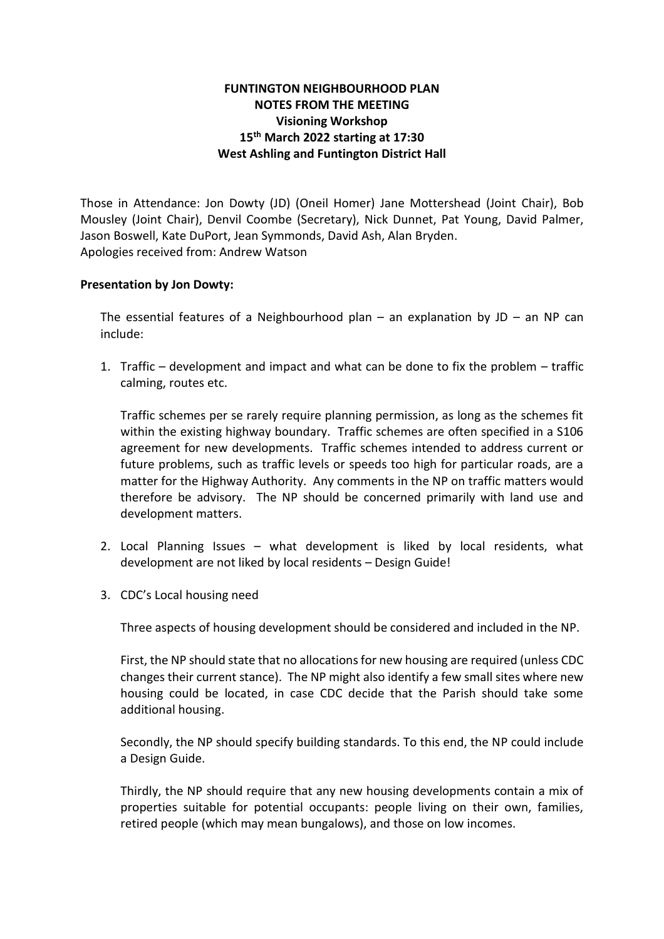## **FUNTINGTON NEIGHBOURHOOD PLAN NOTES FROM THE MEETING Visioning Workshop 15th March 2022 starting at 17:30 West Ashling and Funtington District Hall**

Those in Attendance: Jon Dowty (JD) (Oneil Homer) Jane Mottershead (Joint Chair), Bob Mousley (Joint Chair), Denvil Coombe (Secretary), Nick Dunnet, Pat Young, David Palmer, Jason Boswell, Kate DuPort, Jean Symmonds, David Ash, Alan Bryden. Apologies received from: Andrew Watson

## **Presentation by Jon Dowty:**

The essential features of a Neighbourhood plan – an explanation by  $JD -$  an NP can include:

1. Traffic – development and impact and what can be done to fix the problem – traffic calming, routes etc.

Traffic schemes per se rarely require planning permission, as long as the schemes fit within the existing highway boundary. Traffic schemes are often specified in a S106 agreement for new developments. Traffic schemes intended to address current or future problems, such as traffic levels or speeds too high for particular roads, are a matter for the Highway Authority. Any comments in the NP on traffic matters would therefore be advisory. The NP should be concerned primarily with land use and development matters.

- 2. Local Planning Issues what development is liked by local residents, what development are not liked by local residents – Design Guide!
- 3. CDC's Local housing need

Three aspects of housing development should be considered and included in the NP.

First, the NP should state that no allocations for new housing are required (unless CDC changes their current stance). The NP might also identify a few small sites where new housing could be located, in case CDC decide that the Parish should take some additional housing.

Secondly, the NP should specify building standards. To this end, the NP could include a Design Guide.

Thirdly, the NP should require that any new housing developments contain a mix of properties suitable for potential occupants: people living on their own, families, retired people (which may mean bungalows), and those on low incomes.